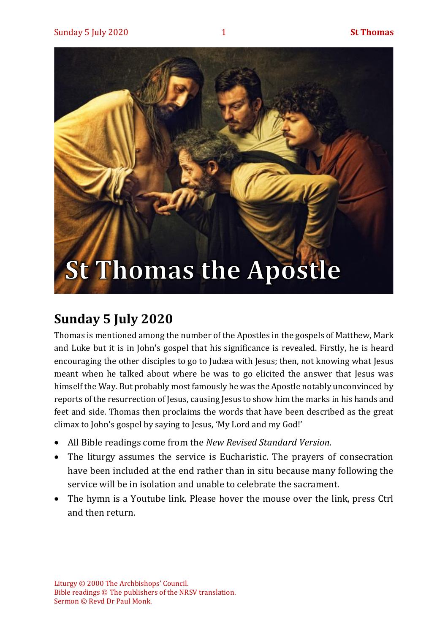

## **Sunday 5 July 2020**

Thomas is mentioned among the number of the Apostles in the gospels of Matthew, Mark and Luke but it is in John's gospel that his significance is revealed. Firstly, he is heard encouraging the other disciples to go to Judæa with Jesus; then, not knowing what Jesus meant when he talked about where he was to go elicited the answer that Jesus was himself the Way. But probably most famously he was the Apostle notably unconvinced by reports of the resurrection of Jesus, causing Jesus to show him the marks in his hands and feet and side. Thomas then proclaims the words that have been described as the great climax to John's gospel by saying to Jesus, 'My Lord and my God!'

- All Bible readings come from the *New Revised Standard Version*.
- The liturgy assumes the service is Eucharistic. The prayers of consecration have been included at the end rather than in situ because many following the service will be in isolation and unable to celebrate the sacrament.
- The hymn is a Youtube link. Please hover the mouse over the link, press Ctrl and then return.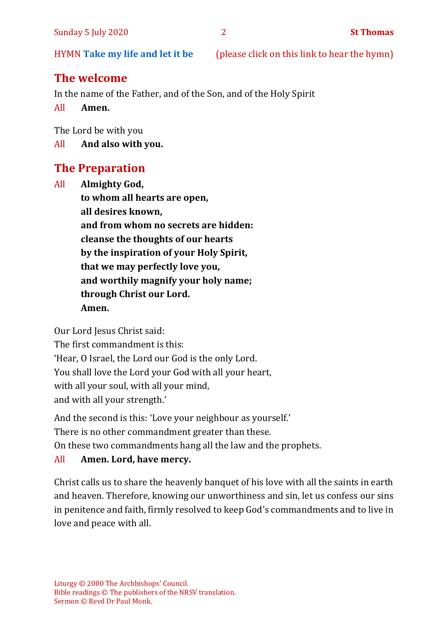HYMN **[Take my life and let it be](https://www.youtube.com/watch?v=Gf11rReeWIs)** (please click on this link to hear the hymn)

## **The welcome**

In the name of the Father, and of the Son, and of the Holy Spirit

All **Amen.**

The Lord be with you

All **And also with you.**

## **The Preparation**

All **Almighty God, to whom all hearts are open, all desires known, and from whom no secrets are hidden: cleanse the thoughts of our hearts by the inspiration of your Holy Spirit, that we may perfectly love you, and worthily magnify your holy name; through Christ our Lord. Amen.**

Our Lord Jesus Christ said:

The first commandment is this: 'Hear, O Israel, the Lord our God is the only Lord. You shall love the Lord your God with all your heart, with all your soul, with all your mind, and with all your strength.'

And the second is this: 'Love your neighbour as yourself.'

There is no other commandment greater than these.

On these two commandments hang all the law and the prophets.

#### All **Amen. Lord, have mercy.**

Christ calls us to share the heavenly banquet of his love with all the saints in earth and heaven. Therefore, knowing our unworthiness and sin, let us confess our sins in penitence and faith, firmly resolved to keep God's commandments and to live in love and peace with all.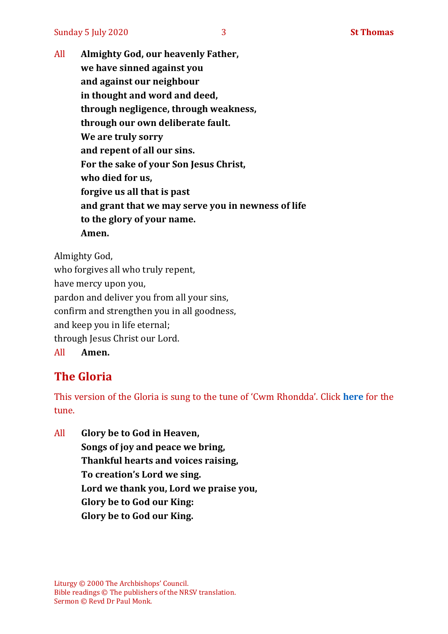Sunday 5 July 2020 3 **St Thomas**

All **Almighty God, our heavenly Father, we have sinned against you and against our neighbour in thought and word and deed, through negligence, through weakness, through our own deliberate fault. We are truly sorry and repent of all our sins. For the sake of your Son Jesus Christ, who died for us, forgive us all that is past and grant that we may serve you in newness of life to the glory of your name. Amen.**

Almighty God,

who forgives all who truly repent, have mercy upon you, pardon and deliver you from all your sins, confirm and strengthen you in all goodness, and keep you in life eternal; through Jesus Christ our Lord. All **Amen.**

## **The Gloria**

This version of the Gloria is sung to the tune of 'Cwm Rhondda'. Click **[here](https://www.youtube.com/watch?v=BtGhnEwY74E)** for the tune.

All **Glory be to God in Heaven, Songs of joy and peace we bring, Thankful hearts and voices raising, To creation's Lord we sing. Lord we thank you, Lord we praise you, Glory be to God our King: Glory be to God our King.**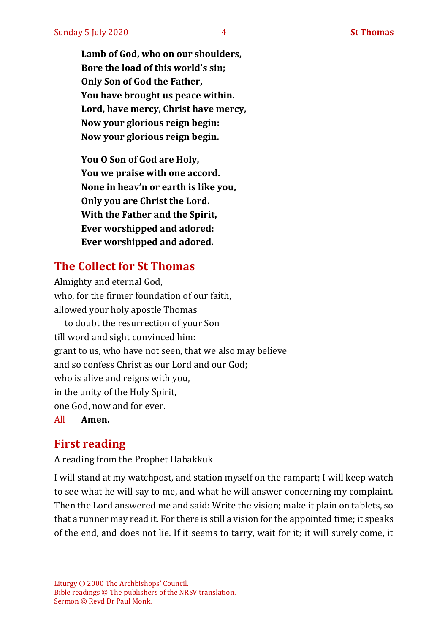**Lord, have mercy, Christ have mercy, Now your glorious reign begin: Now your glorious reign begin.**

**You O Son of God are Holy, You we praise with one accord. None in heav'n or earth is like you, Only you are Christ the Lord. With the Father and the Spirit, Ever worshipped and adored: Ever worshipped and adored.**

## **The Collect for St Thomas**

Almighty and eternal God, who, for the firmer foundation of our faith, allowed your holy apostle Thomas to doubt the resurrection of your Son till word and sight convinced him: grant to us, who have not seen, that we also may believe and so confess Christ as our Lord and our God; who is alive and reigns with you, in the unity of the Holy Spirit, one God, now and for ever. All **Amen.**

## **First reading**

A reading from the Prophet Habakkuk

I will stand at my watchpost, and station myself on the rampart; I will keep watch to see what he will say to me, and what he will answer concerning my complaint. Then the Lord answered me and said: Write the vision; make it plain on tablets, so that a runner may read it. For there is still a vision for the appointed time; it speaks of the end, and does not lie. If it seems to tarry, wait for it; it will surely come, it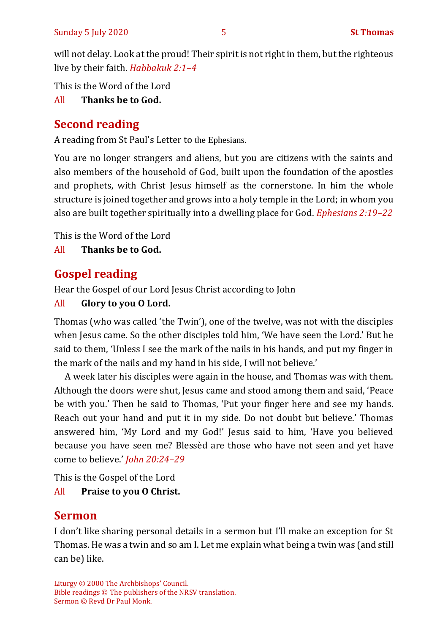will not delay. Look at the proud! Their spirit is not right in them, but the righteous live by their faith. *Habbakuk 2:1–4*

This is the Word of the Lord

#### All **Thanks be to God.**

## **Second reading**

A reading from St Paul's Letter to the Ephesians.

You are no longer strangers and aliens, but you are citizens with the saints and also members of the household of God, built upon the foundation of the apostles and prophets, with Christ Jesus himself as the cornerstone. In him the whole structure is joined together and grows into a holy temple in the Lord; in whom you also are built together spiritually into a dwelling place for God. *Ephesians 2:19–22*

This is the Word of the Lord

All **Thanks be to God.**

## **Gospel reading**

Hear the Gospel of our Lord Jesus Christ according to John

#### All **Glory to you O Lord.**

Thomas (who was called 'the Twin'), one of the twelve, was not with the disciples when Jesus came. So the other disciples told him, 'We have seen the Lord.' But he said to them, 'Unless I see the mark of the nails in his hands, and put my finger in the mark of the nails and my hand in his side, I will not believe.'

A week later his disciples were again in the house, and Thomas was with them. Although the doors were shut, Jesus came and stood among them and said, 'Peace be with you.' Then he said to Thomas, 'Put your finger here and see my hands. Reach out your hand and put it in my side. Do not doubt but believe.' Thomas answered him, 'My Lord and my God!' Jesus said to him, 'Have you believed because you have seen me? Blessèd are those who have not seen and yet have come to believe.' *John 20:24–29*

This is the Gospel of the Lord All **Praise to you O Christ.** 

## **Sermon**

I don't like sharing personal details in a sermon but I'll make an exception for St Thomas. He was a twin and so am I. Let me explain what being a twin was (and still can be) like.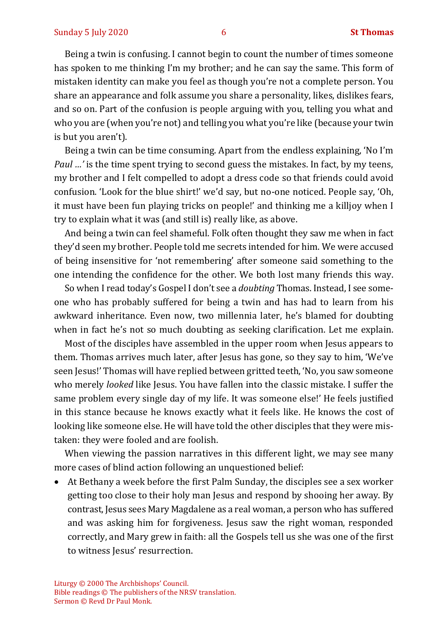Being a twin is confusing. I cannot begin to count the number of times someone has spoken to me thinking I'm my brother; and he can say the same. This form of mistaken identity can make you feel as though you're not a complete person. You share an appearance and folk assume you share a personality, likes, dislikes fears, and so on. Part of the confusion is people arguing with you, telling you what and who you are (when you're not) and telling you what you're like (because your twin is but you aren't).

Being a twin can be time consuming. Apart from the endless explaining, 'No I'm *Paul …'* is the time spent trying to second guess the mistakes. In fact, by my teens, my brother and I felt compelled to adopt a dress code so that friends could avoid confusion. 'Look for the blue shirt!' we'd say, but no-one noticed. People say, 'Oh, it must have been fun playing tricks on people!' and thinking me a killjoy when I try to explain what it was (and still is) really like, as above.

And being a twin can feel shameful. Folk often thought they saw me when in fact they'd seen my brother. People told me secrets intended for him. We were accused of being insensitive for 'not remembering' after someone said something to the one intending the confidence for the other. We both lost many friends this way.

So when I read today's Gospel I don't see a *doubting* Thomas. Instead, I see someone who has probably suffered for being a twin and has had to learn from his awkward inheritance. Even now, two millennia later, he's blamed for doubting when in fact he's not so much doubting as seeking clarification. Let me explain.

Most of the disciples have assembled in the upper room when Jesus appears to them. Thomas arrives much later, after Jesus has gone, so they say to him, 'We've seen Jesus!' Thomas will have replied between gritted teeth, 'No, you saw someone who merely *looked* like Jesus. You have fallen into the classic mistake. I suffer the same problem every single day of my life. It was someone else!' He feels justified in this stance because he knows exactly what it feels like. He knows the cost of looking like someone else. He will have told the other disciples that they were mistaken: they were fooled and are foolish.

When viewing the passion narratives in this different light, we may see many more cases of blind action following an unquestioned belief:

• At Bethany a week before the first Palm Sunday, the disciples see a sex worker getting too close to their holy man Jesus and respond by shooing her away. By contrast, Jesus sees Mary Magdalene as a real woman, a person who has suffered and was asking him for forgiveness. Jesus saw the right woman, responded correctly, and Mary grew in faith: all the Gospels tell us she was one of the first to witness Jesus' resurrection.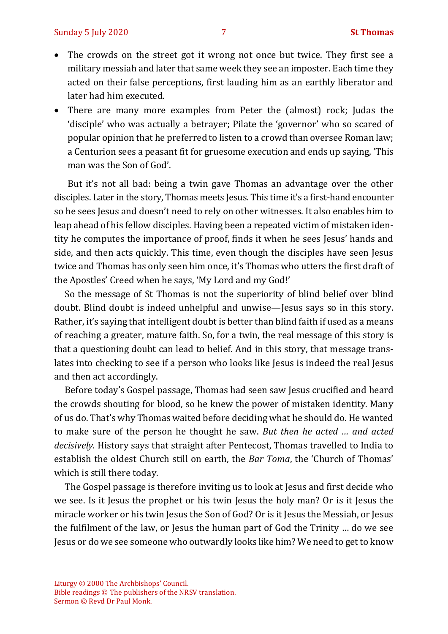- The crowds on the street got it wrong not once but twice. They first see a military messiah and later that same week they see an imposter. Each time they acted on their false perceptions, first lauding him as an earthly liberator and later had him executed.
- There are many more examples from Peter the (almost) rock; Judas the 'disciple' who was actually a betrayer; Pilate the 'governor' who so scared of popular opinion that he preferred to listen to a crowd than oversee Roman law; a Centurion sees a peasant fit for gruesome execution and ends up saying, 'This man was the Son of God'.

But it's not all bad: being a twin gave Thomas an advantage over the other disciples. Later in the story, Thomas meets Jesus. This time it's a first-hand encounter so he sees Jesus and doesn't need to rely on other witnesses. It also enables him to leap ahead of his fellow disciples. Having been a repeated victim of mistaken identity he computes the importance of proof, finds it when he sees Jesus' hands and side, and then acts quickly. This time, even though the disciples have seen Jesus twice and Thomas has only seen him once, it's Thomas who utters the first draft of the Apostles' Creed when he says, 'My Lord and my God!'

So the message of St Thomas is not the superiority of blind belief over blind doubt. Blind doubt is indeed unhelpful and unwise—Jesus says so in this story. Rather, it's saying that intelligent doubt is better than blind faith if used as a means of reaching a greater, mature faith. So, for a twin, the real message of this story is that a questioning doubt can lead to belief. And in this story, that message translates into checking to see if a person who looks like Jesus is indeed the real Jesus and then act accordingly.

Before today's Gospel passage, Thomas had seen saw Jesus crucified and heard the crowds shouting for blood, so he knew the power of mistaken identity. Many of us do. That's why Thomas waited before deciding what he should do. He wanted to make sure of the person he thought he saw. *But then he acted … and acted decisively.* History says that straight after Pentecost, Thomas travelled to India to establish the oldest Church still on earth, the *Bar Toma*, the 'Church of Thomas' which is still there today.

The Gospel passage is therefore inviting us to look at Jesus and first decide who we see. Is it Jesus the prophet or his twin Jesus the holy man? Or is it Jesus the miracle worker or his twin Jesus the Son of God? Or is it Jesus the Messiah, or Jesus the fulfilment of the law, or Jesus the human part of God the Trinity … do we see Jesus or do we see someone who outwardly looks like him? We need to get to know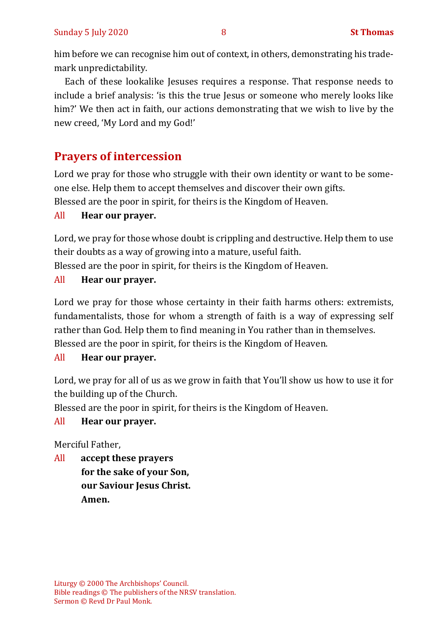him before we can recognise him out of context, in others, demonstrating his trademark unpredictability.

Each of these lookalike Jesuses requires a response. That response needs to include a brief analysis: 'is this the true Jesus or someone who merely looks like him?' We then act in faith, our actions demonstrating that we wish to live by the new creed, 'My Lord and my God!'

## **Prayers of intercession**

Lord we pray for those who struggle with their own identity or want to be someone else. Help them to accept themselves and discover their own gifts. Blessed are the poor in spirit, for theirs is the Kingdom of Heaven.

#### All **Hear our prayer.**

Lord, we pray for those whose doubt is crippling and destructive. Help them to use their doubts as a way of growing into a mature, useful faith. Blessed are the poor in spirit, for theirs is the Kingdom of Heaven.

#### All **Hear our prayer.**

Lord we pray for those whose certainty in their faith harms others: extremists, fundamentalists, those for whom a strength of faith is a way of expressing self rather than God. Help them to find meaning in You rather than in themselves. Blessed are the poor in spirit, for theirs is the Kingdom of Heaven.

#### All **Hear our prayer.**

Lord, we pray for all of us as we grow in faith that You'll show us how to use it for the building up of the Church.

Blessed are the poor in spirit, for theirs is the Kingdom of Heaven.

#### All **Hear our prayer.**

Merciful Father,

All **accept these prayers for the sake of your Son, our Saviour Jesus Christ. Amen.**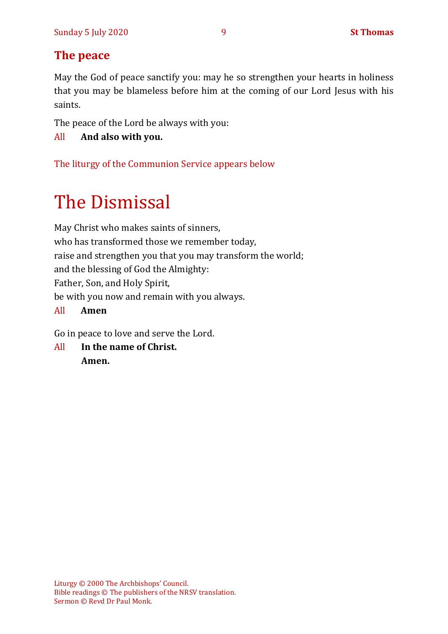## **The peace**

May the God of peace sanctify you: may he so strengthen your hearts in holiness that you may be blameless before him at the coming of our Lord Jesus with his saints.

The peace of the Lord be always with you:

All **And also with you.**

The liturgy of the Communion Service appears below

# The Dismissal

May Christ who makes saints of sinners, who has transformed those we remember today, raise and strengthen you that you may transform the world; and the blessing of God the Almighty: Father, Son, and Holy Spirit, be with you now and remain with you always.

#### All **Amen**

Go in peace to love and serve the Lord.

All **In the name of Christ. Amen.**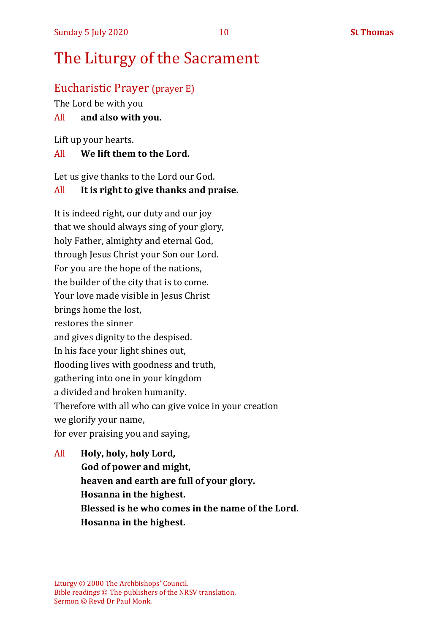# The Liturgy of the Sacrament

## Eucharistic Prayer (prayer E)

The Lord be with you

#### All **and also with you.**

Lift up your hearts.

#### All **We lift them to the Lord.**

Let us give thanks to the Lord our God.

#### All **It is right to give thanks and praise.**

It is indeed right, our duty and our joy that we should always sing of your glory, holy Father, almighty and eternal God, through Jesus Christ your Son our Lord. For you are the hope of the nations, the builder of the city that is to come. Your love made visible in Jesus Christ brings home the lost, restores the sinner and gives dignity to the despised. In his face your light shines out, flooding lives with goodness and truth, gathering into one in your kingdom a divided and broken humanity. Therefore with all who can give voice in your creation we glorify your name, for ever praising you and saying,

All **Holy, holy, holy Lord, God of power and might, heaven and earth are full of your glory. Hosanna in the highest. Blessed is he who comes in the name of the Lord. Hosanna in the highest.**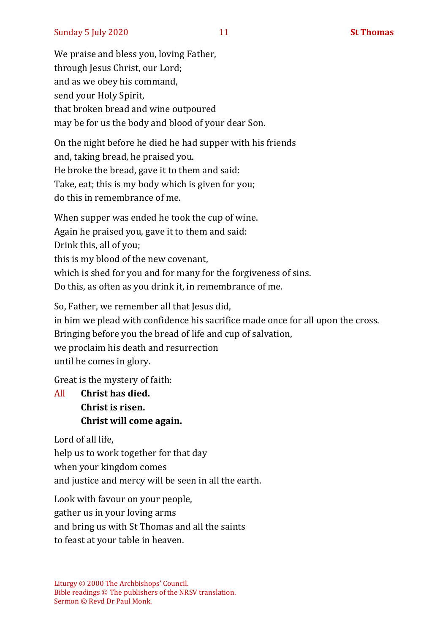We praise and bless you, loving Father, through Jesus Christ, our Lord; and as we obey his command, send your Holy Spirit, that broken bread and wine outpoured may be for us the body and blood of your dear Son.

On the night before he died he had supper with his friends and, taking bread, he praised you. He broke the bread, gave it to them and said: Take, eat; this is my body which is given for you; do this in remembrance of me.

When supper was ended he took the cup of wine. Again he praised you, gave it to them and said: Drink this, all of you; this is my blood of the new covenant, which is shed for you and for many for the forgiveness of sins. Do this, as often as you drink it, in remembrance of me.

So, Father, we remember all that Jesus did, in him we plead with confidence his sacrifice made once for all upon the cross. Bringing before you the bread of life and cup of salvation, we proclaim his death and resurrection until he comes in glory.

Great is the mystery of faith:

All **Christ has died. Christ is risen. Christ will come again.**

Lord of all life,

help us to work together for that day when your kingdom comes and justice and mercy will be seen in all the earth.

Look with favour on your people, gather us in your loving arms and bring us with St Thomas and all the saints to feast at your table in heaven.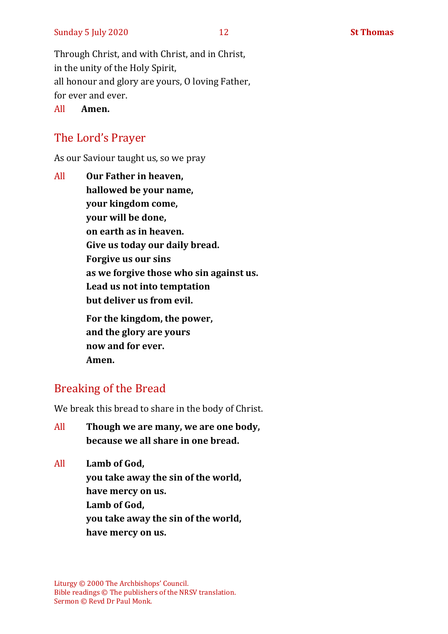Through Christ, and with Christ, and in Christ, in the unity of the Holy Spirit, all honour and glory are yours, O loving Father, for ever and ever.

All **Amen.**

## The Lord's Prayer

As our Saviour taught us, so we pray

All **Our Father in heaven, hallowed be your name, your kingdom come, your will be done, on earth as in heaven. Give us today our daily bread. Forgive us our sins as we forgive those who sin against us. Lead us not into temptation but deliver us from evil. For the kingdom, the power, and the glory are yours now and for ever.** 

**Amen.**

## Breaking of the Bread

We break this bread to share in the body of Christ.

- All **Though we are many, we are one body, because we all share in one bread.**
- All **Lamb of God, you take away the sin of the world, have mercy on us. Lamb of God, you take away the sin of the world, have mercy on us.**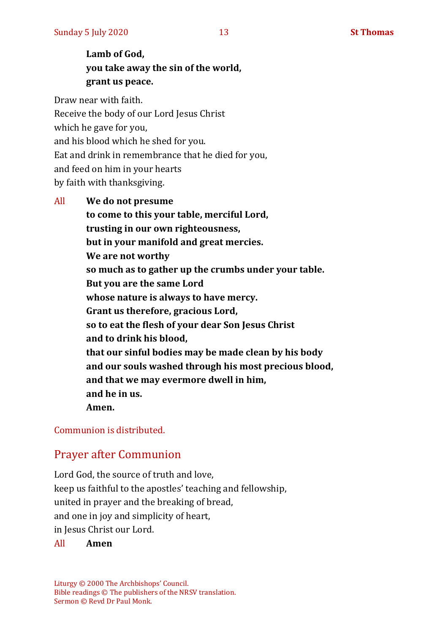## **Lamb of God, you take away the sin of the world, grant us peace.**

Draw near with faith. Receive the body of our Lord Jesus Christ which he gave for you, and his blood which he shed for you. Eat and drink in remembrance that he died for you, and feed on him in your hearts by faith with thanksgiving.

All **We do not presume to come to this your table, merciful Lord, trusting in our own righteousness, but in your manifold and great mercies. We are not worthy so much as to gather up the crumbs under your table. But you are the same Lord whose nature is always to have mercy. Grant us therefore, gracious Lord, so to eat the flesh of your dear Son Jesus Christ and to drink his blood, that our sinful bodies may be made clean by his body and our souls washed through his most precious blood, and that we may evermore dwell in him, and he in us. Amen.**

Communion is distributed.

### Prayer after Communion

Lord God, the source of truth and love, keep us faithful to the apostles' teaching and fellowship, united in prayer and the breaking of bread, and one in joy and simplicity of heart, in Jesus Christ our Lord.

All **Amen**